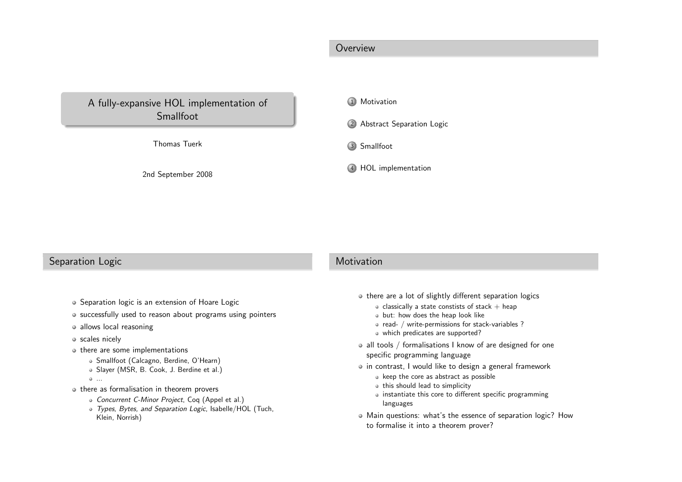## **Overview**

<span id="page-0-0"></span><sup>A</sup> fully-expansive HOL implementation of **Smallfoot** 

Thomas Tuerk

2nd September <sup>2008</sup>

1 [Motivation](#page-0-0)

2 Abstract [Separation](#page-1-0) Logic

3 [Smallfoot](#page-2-0)

4 HOL [implementation](#page-3-0)

## Separation Logic

# Motivation

- Separation logic is an extension of Hoare Logic
- successfully used to reason about programs using pointers
- allows local reasoning
- scales nicely
- there are some implementations
	- Smallfoot (Calcagno, Berdine, O'Hearn)
	- Slayer (MSR, B. Cook, J. Berdine et al.)

...

- $\bullet$  there as formalisation in theorem provers
	- Concurrent C-Minor Project, Coq (Appel et al.)
	- Types, Bytes, and Separation Logic, Isabelle/HOL (Tuch, Klein, Norrish)
- $\circ$  there are a lot of slightly different separation logics
	- $\bullet$  classically a state constists of stack  $+$  heap
	- but: how does the heap look like
	- read- / write-permissions for stack-variables ?
	- which predicates are supported?
- all tools / formalisations I know of are designed for one specific programming language
- in contrast, <sup>I</sup> would like to design <sup>a</sup> genera<sup>l</sup> framework
	- $\bullet$  keep the core as abstract as possible
	- this should lead to simplicity
	- instantiate this core to different specific programminglanguages
- Main questions: what's the essence of separation logic? Howto formalise it into <sup>a</sup> theorem prover?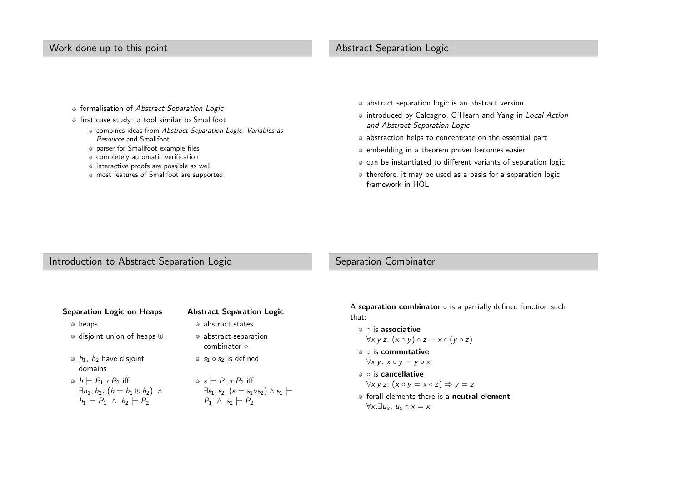## <span id="page-1-0"></span>Work done up to this point

# Abstract Separation Logic

- o formalisation of Abstract Separation Logic
- first case study: <sup>a</sup> tool similar to Smallfoot
	- combines ideas from Abstract Separation Logic, Variables as Resource and Smallfoot
	- parser for Smallfoot example files
	- completely automatic verification
	- interactive proofs are possible as well
	- most features of Smallfoot are supported
- abstract separation logic is an abstract version
- introduced by Calcagno, O'Hearn and Yang in Local Action and Abstract Separation Logic
- abstraction helps to concentrate on the essential part
- embedding in <sup>a</sup> theorem prover becomes easier
- can be instantiated to different variants of separation logic
- therefore, it may be used as <sup>a</sup> basis for <sup>a</sup> separation logicframework in HOL

## Introduction to Abstract Separation Logic

#### Separation Combinator

#### Separation Logic on Heaps

heaps

disjoint union of heaps <sup>⊎</sup>

- $h_1$ ,  $h_2$  have disjoint domains
- $h \models P_1 * P_2$  iff  $\exists h_1, h_2.$   $(h = h_1 \oplus h_2)$  ∧  $h_1 \models P_1 \land h_2 \models P_2$

#### Abstract Separation Logic

- abstract states
- abstract separationcombinator ◦
- $s_1 \circ s_2$  is defined

$$
\circ \ s \models P_1 * P_2 \text{ iff} \exists s_1, s_2. (s = s_1 \circ s_2) \land s_1 \models P_1 \land s_2 \models P_2
$$

A separation combinator  $\circ$  is a partially defined function such that:

- is associative $\forall x \ y \ z. (x \circ y) \circ z = x \circ (y \circ z)$
- is commutative $\forall x \, y. \; x \circ y = y \circ x$
- is cancellative $\forall x \ y \ z.$   $(x \circ y = x \circ z) \Rightarrow y = z$
- forall elements there is a **neutral element**  $\forall x. \exists u_x. u_x \circ x = x$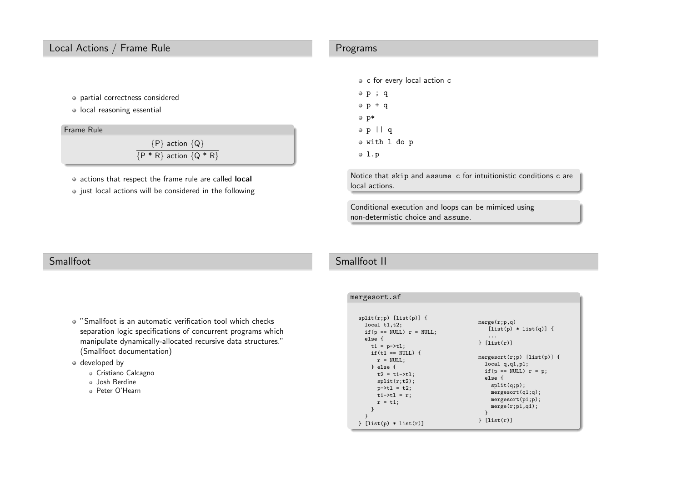## <span id="page-2-0"></span>Local Actions / Frame Rule

#### Programs

- partial correctness considered
- **·** local reasoning essential

Frame Rule

 $\{P\}$  action  $\{Q\}$  $\{P * R\}$  action  $\{Q * R\}$ 

- actions that respect the frame rule are called **local**
- $\circ$  just local actions will be considered in the following

c for every local action <sup>c</sup> <sup>p</sup> ; <sup>q</sup>  $p + q$ p\* <sup>p</sup> || <sup>q</sup> with <sup>l</sup> do <sup>p</sup>  $0.1.p$ 

Notice that skip and assume <sup>c</sup> for intuitionistic conditions <sup>c</sup> are local actions.

Conditional execution and loops can be mimiced usingnon-determistic choice and assume.

# Smallfoot

# Smallfoot II

mergesort.sf

- "Smallfoot is an automatic verification tool which checks separation logic specifications of concurrent programs which manipulate dynamically-allocated recursive data structures."(Smallfoot documentation)
- developed by
	- Cristiano Calcagno
	- Josh Berdine
	- Peter O'Hearn

| TG . DE POLI                                                                                                                                                                                                                                                                                  |                                                                                                                                                                                                                                                            |
|-----------------------------------------------------------------------------------------------------------------------------------------------------------------------------------------------------------------------------------------------------------------------------------------------|------------------------------------------------------------------------------------------------------------------------------------------------------------------------------------------------------------------------------------------------------------|
| $split(r;p)$ [list(p)] {<br>local t1,t2;<br>$if(p == NULL)$ $r = NULL;$<br>else f<br>$t1 = p-\t{t}$ ;<br>$if(t1 == NULL)$ {<br>$r = NULL;$<br>} else {<br>$t2 = t1 - \frac{1}{1}$<br>split(r;t2);<br>$p - > t1 = t2;$<br>$t1 - \t{t1} = r$ ;<br>$r = t1$ ;<br>}<br>ł<br>$[iist(p) * list(r)]$ | merge(r;p,q)<br>$[list(p) * list(q)]$ {<br>.<br>[list(r)]<br>mergesort $(r;p)$ [list $(p)$ ] {<br>local q,q1,p1;<br>if $(p == NULL)$ $r = p$ ;<br>else f<br>split(q;p);<br>mergesort(q1; q);<br>mergesort(p1;p);<br>merge(r;p1,q1);<br>ι<br>$\}$ [list(r)] |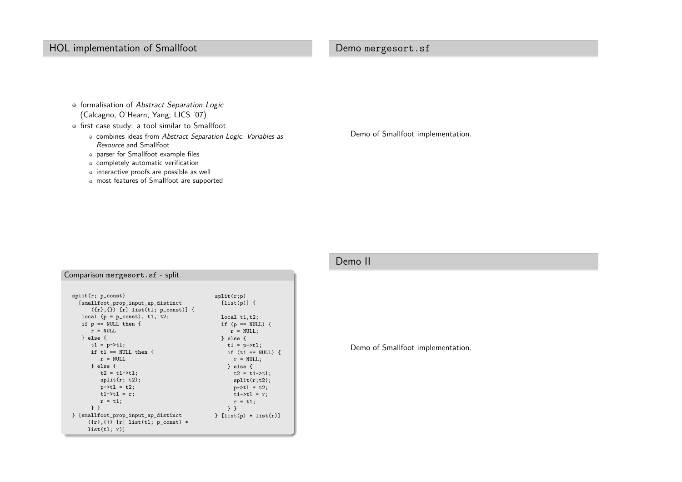# <span id="page-3-0"></span>HOL implementation of Smallfoot

# Demo mergesort.sf

- o formalisation of Abstract Separation Logic (Calcagno, O'Hearn, Yang; LICS '07)
- first case study: <sup>a</sup> tool similar to Smallfoot
	- combines ideas from Abstract Separation Logic, Variables as Resource and Smallfoot
	- parser for Smallfoot example files
	- completely automatic verification

Comparison mergesort.sf - split

- interactive proofs are possible as well
- most features of Smallfoot are supported

Demo of Smallfoot implementation.

## Demo II

| $split(r; p_{const})$                | split(r;p)              |
|--------------------------------------|-------------------------|
| [smallfoot_prop_input_ap_distinct    | $[list(p)]$ {           |
| $({r}, {})$ [r] list(tl; p_const)] { |                         |
| local $(p = p_{const})$ , t1, t2;    | local t1,t2;            |
| if $p == NULL$ then {                | if $(p == NULL)$ {      |
| $r = NULL$                           | $r = NULL;$             |
| } else {                             | $}$ else {              |
| $t1 = p - \t1;$                      | $t1 = p - \t1;$         |
| if $t1 == NULL$ then {               | if $(t1 == NULL)$ {     |
| $r = NULL$                           | $r = NULL;$             |
| } else {                             | $}$ else {              |
| $t2 = t1 - \frac{1}{1}$              | $t2 = t1 - \frac{1}{1}$ |
| split(r; t2);                        | split(r;t2);            |
| $p - > t1 = t2$ ;                    | $p - > t1 = t2;$        |
| $t1 - \t{t1} = r$ ;                  | $t1 - > t1 = r$ ;       |
| $r = t1$ ;                           | $r = t1$ ;              |
| $\rightarrow$ $\rightarrow$          | $\}$ }                  |
| } [smallfoot_prop_input_ap_distinct  | $[list(p) * list(r)]$   |
| $({r}, {})$ [r] list(tl; p_const) *  |                         |
| list(t1; r)]                         |                         |

Demo of Smallfoot implementation.